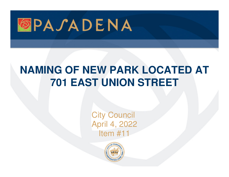

## **NAMING OF NEW PARK LOCATED AT 701 EAST UNION STREET**

**City Council** April 4, 2022Item #11

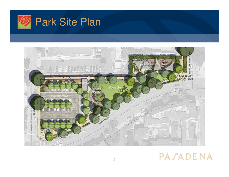



## PASADENA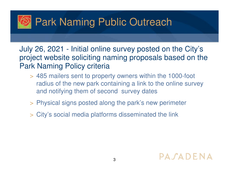

July 26, 2021 - Initial online survey posted on the City's project website soliciting naming proposals based on the Park Naming Policy criteria

- > 485 mailers sent to property owners within the 1000-foot radius of the new park containing a link to the online survey and notifying them of second survey dates
- > Physical signs posted along the park's new perimete r
- > City's social media platforms disseminated the link

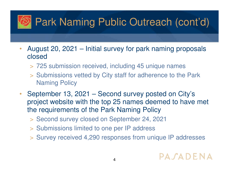## Park Naming Public Outreach (cont'd)

- $\bullet$  August 20, 2021 – Initial survey for park naming proposals closed
	- > 725 submission received, including 45 unique names
	- > Submissions vetted by City staff for adherence to the Park Naming Policy
- $\bullet$  September 13, 2021 – Second survey posted on City's project website with the top 25 names deemed to have met the requirements of the Park Naming Policy
	- > Second survey closed on September 24, 2021
	- > Submissions limited to one per IP address
	- > Survey received 4,290 responses from unique IP addresses

## PASADENA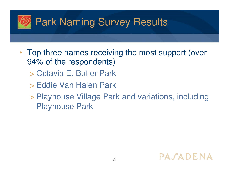

- $\bullet$  Top three names receiving the most support (over 94% of the respondents)
	- > Octavia E. Butler Park
	- > Eddie Van Halen Park
	- > Playhouse Village Park and variations, including Playhouse Park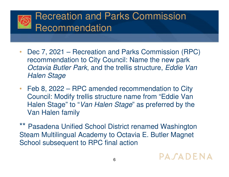

- $\bullet$  Dec 7, 2021 – Recreation and Parks Commission (RPC) recommendation to City Council: Name the new park Octavia Butler Park, and the trellis structure, Eddie Van Halen Stage
- $\bullet$  Feb 8, 2022 – RPC amended recommendation to City Council: Modify trellis structure name from "Eddie Van Halen Stage" to "*Van Halen Stage*" as preferred by the Van Halen family

Pasadena Unified School District renamed Washington Steam Multilingual Academy to Octavia E. Butler Magnet School subsequent to RPC final action